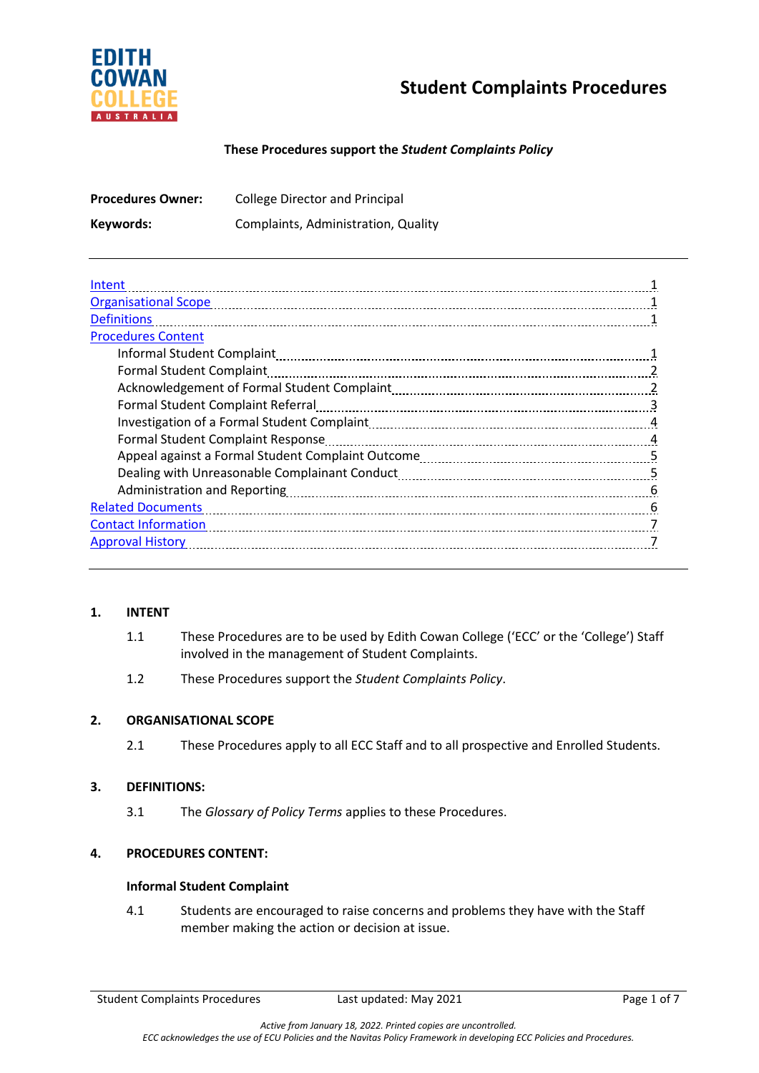

# **Student Complaints Procedures**

## **These Procedures support the** *Student Complaints Policy*

| <b>Procedures Owner:</b> | <b>College Director and Principal</b> |
|--------------------------|---------------------------------------|
| Keywords:                | Complaints, Administration, Quality   |

| Intent                            |   |
|-----------------------------------|---|
| <b>Organisational Scope</b>       |   |
| <b>Definitions</b>                |   |
| <b>Procedures Content</b>         |   |
|                                   |   |
| <b>Formal Student Complaint</b>   |   |
|                                   |   |
| Formal Student Complaint Referral | 3 |
|                                   | 4 |
| Formal Student Complaint Response |   |
|                                   | 5 |
|                                   |   |
|                                   | 6 |
| <b>Related Documents</b>          | 6 |
| <b>Contact Information</b>        |   |
| <b>Approval History</b>           |   |
|                                   |   |

#### **1. INTENT**

- 1.1 These Procedures are to be used by Edith Cowan College ('ECC' or the 'College') Staff involved in the management of Student Complaints.
- 1.2 These Procedures support the *Student Complaints Policy*.

# **2. ORGANISATIONAL SCOPE**

2.1 These Procedures apply to all ECC Staff and to all prospective and Enrolled Students.

#### **3. DEFINITIONS:**

3.1 The *Glossary of Policy Terms* applies to these Procedures.

# **4. PROCEDURES CONTENT:**

#### **Informal Student Complaint**

4.1 Students are encouraged to raise concerns and problems they have with the Staff member making the action or decision at issue.

Student Complaints Procedures Last updated: May 2021 Page 1 of 7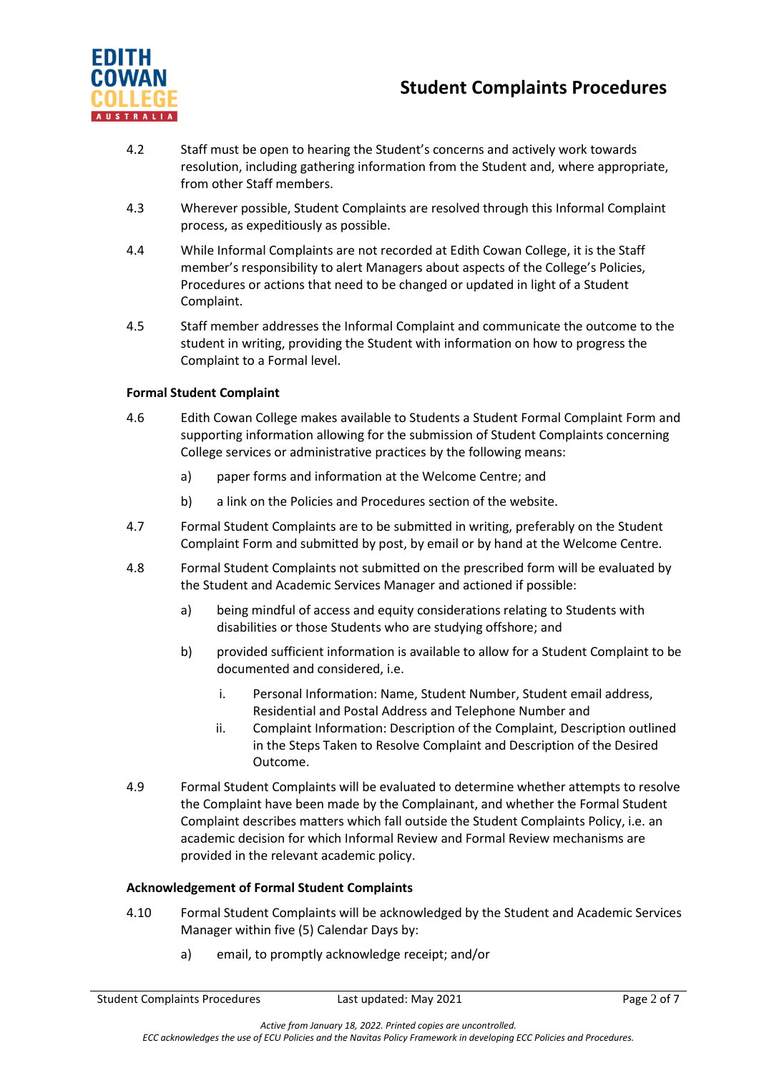

# **Student Complaints Procedures**

- 4.2 Staff must be open to hearing the Student's concerns and actively work towards resolution, including gathering information from the Student and, where appropriate, from other Staff members.
- 4.3 Wherever possible, Student Complaints are resolved through this Informal Complaint process, as expeditiously as possible.
- 4.4 While Informal Complaints are not recorded at Edith Cowan College, it is the Staff member's responsibility to alert Managers about aspects of the College's Policies, Procedures or actions that need to be changed or updated in light of a Student Complaint.
- 4.5 Staff member addresses the Informal Complaint and communicate the outcome to the student in writing, providing the Student with information on how to progress the Complaint to a Formal level.

## **Formal Student Complaint**

- 4.6 Edith Cowan College makes available to Students a Student Formal Complaint Form and supporting information allowing for the submission of Student Complaints concerning College services or administrative practices by the following means:
	- a) paper forms and information at the Welcome Centre; and
	- b) a link on the Policies and Procedures section of the website.
- 4.7 Formal Student Complaints are to be submitted in writing, preferably on the Student Complaint Form and submitted by post, by email or by hand at the Welcome Centre.
- 4.8 Formal Student Complaints not submitted on the prescribed form will be evaluated by the Student and Academic Services Manager and actioned if possible:
	- a) being mindful of access and equity considerations relating to Students with disabilities or those Students who are studying offshore; and
	- b) provided sufficient information is available to allow for a Student Complaint to be documented and considered, i.e.
		- i. Personal Information: Name, Student Number, Student email address, Residential and Postal Address and Telephone Number and
		- ii. Complaint Information: Description of the Complaint, Description outlined in the Steps Taken to Resolve Complaint and Description of the Desired Outcome.
- 4.9 Formal Student Complaints will be evaluated to determine whether attempts to resolve the Complaint have been made by the Complainant, and whether the Formal Student Complaint describes matters which fall outside the Student Complaints Policy, i.e. an academic decision for which Informal Review and Formal Review mechanisms are provided in the relevant academic policy.

#### **Acknowledgement of Formal Student Complaints**

- 4.10 Formal Student Complaints will be acknowledged by the Student and Academic Services Manager within five (5) Calendar Days by:
	- a) email, to promptly acknowledge receipt; and/or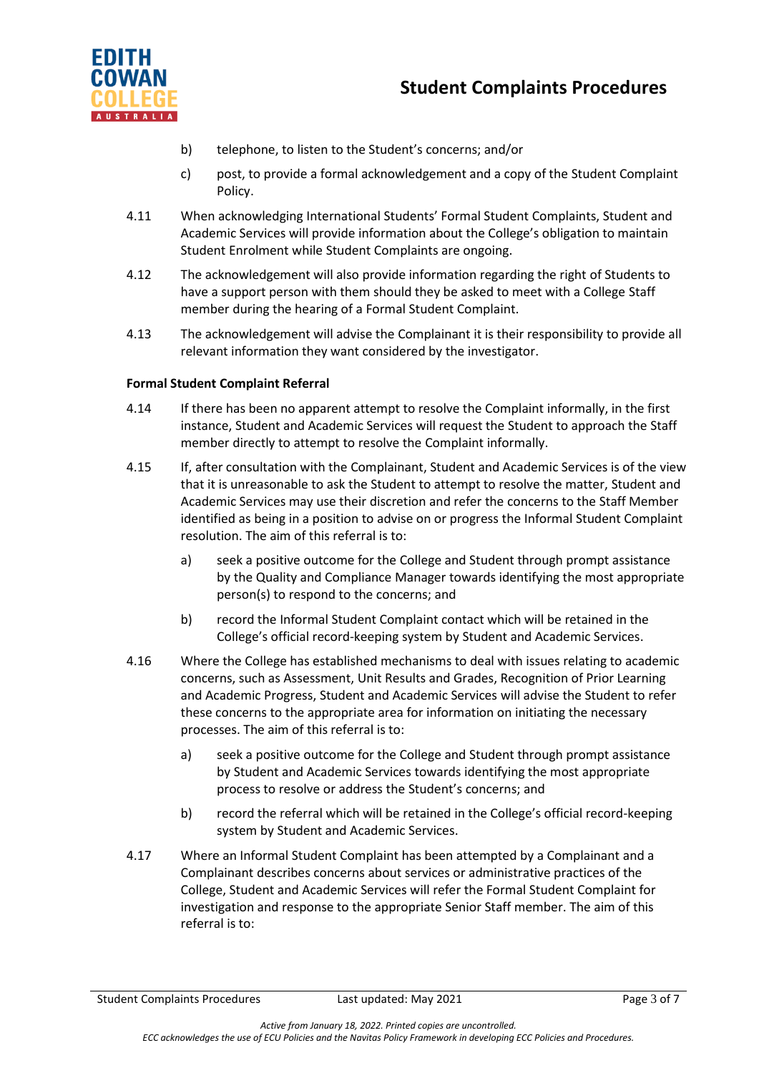

- b) telephone, to listen to the Student's concerns; and/or
- c) post, to provide a formal acknowledgement and a copy of the Student Complaint Policy.
- 4.11 When acknowledging International Students' Formal Student Complaints, Student and Academic Services will provide information about the College's obligation to maintain Student Enrolment while Student Complaints are ongoing.
- 4.12 The acknowledgement will also provide information regarding the right of Students to have a support person with them should they be asked to meet with a College Staff member during the hearing of a Formal Student Complaint.
- 4.13 The acknowledgement will advise the Complainant it is their responsibility to provide all relevant information they want considered by the investigator.

# **Formal Student Complaint Referral**

- 4.14 If there has been no apparent attempt to resolve the Complaint informally, in the first instance, Student and Academic Services will request the Student to approach the Staff member directly to attempt to resolve the Complaint informally.
- 4.15 If, after consultation with the Complainant, Student and Academic Services is of the view that it is unreasonable to ask the Student to attempt to resolve the matter, Student and Academic Services may use their discretion and refer the concerns to the Staff Member identified as being in a position to advise on or progress the Informal Student Complaint resolution. The aim of this referral is to:
	- a) seek a positive outcome for the College and Student through prompt assistance by the Quality and Compliance Manager towards identifying the most appropriate person(s) to respond to the concerns; and
	- b) record the Informal Student Complaint contact which will be retained in the College's official record-keeping system by Student and Academic Services.
- 4.16 Where the College has established mechanisms to deal with issues relating to academic concerns, such as Assessment, Unit Results and Grades, Recognition of Prior Learning and Academic Progress, Student and Academic Services will advise the Student to refer these concerns to the appropriate area for information on initiating the necessary processes. The aim of this referral is to:
	- a) seek a positive outcome for the College and Student through prompt assistance by Student and Academic Services towards identifying the most appropriate process to resolve or address the Student's concerns; and
	- b) record the referral which will be retained in the College's official record-keeping system by Student and Academic Services.
- 4.17 Where an Informal Student Complaint has been attempted by a Complainant and a Complainant describes concerns about services or administrative practices of the College, Student and Academic Services will refer the Formal Student Complaint for investigation and response to the appropriate Senior Staff member. The aim of this referral is to: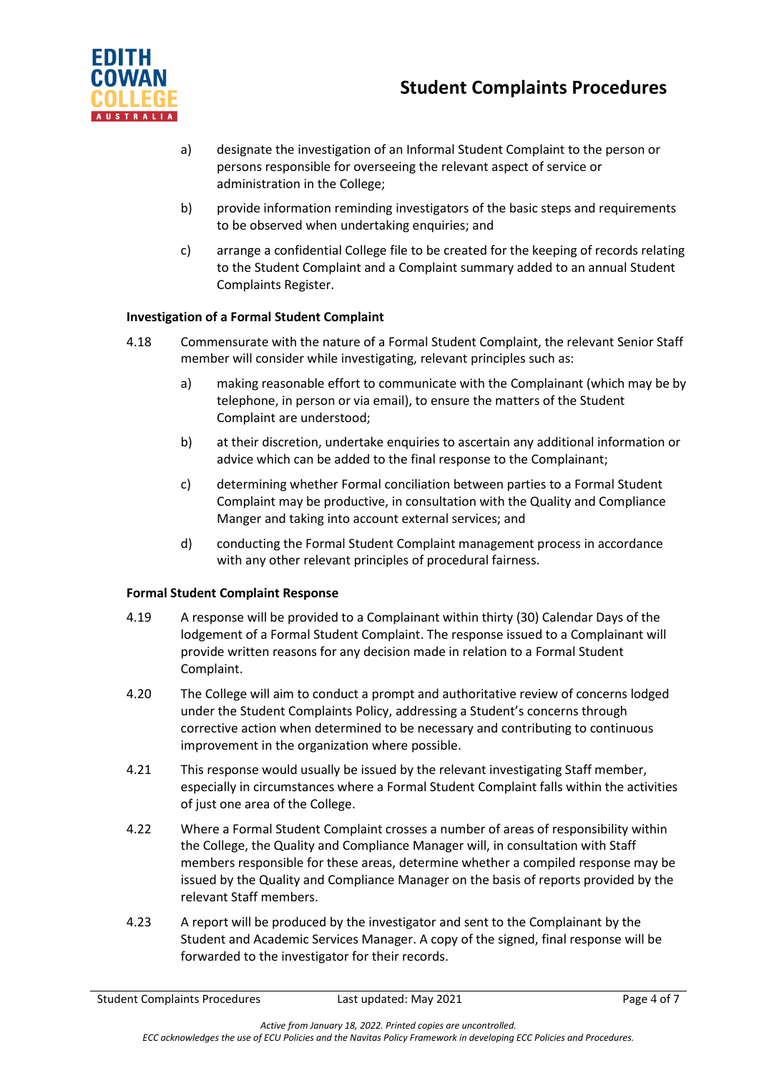



- a) designate the investigation of an Informal Student Complaint to the person or persons responsible for overseeing the relevant aspect of service or administration in the College;
- b) provide information reminding investigators of the basic steps and requirements to be observed when undertaking enquiries; and
- c) arrange a confidential College file to be created for the keeping of records relating to the Student Complaint and a Complaint summary added to an annual Student Complaints Register.

# **Investigation of a Formal Student Complaint**

- 4.18 Commensurate with the nature of a Formal Student Complaint, the relevant Senior Staff member will consider while investigating, relevant principles such as:
	- a) making reasonable effort to communicate with the Complainant (which may be by telephone, in person or via email), to ensure the matters of the Student Complaint are understood;
	- b) at their discretion, undertake enquiries to ascertain any additional information or advice which can be added to the final response to the Complainant;
	- c) determining whether Formal conciliation between parties to a Formal Student Complaint may be productive, in consultation with the Quality and Compliance Manger and taking into account external services; and
	- d) conducting the Formal Student Complaint management process in accordance with any other relevant principles of procedural fairness.

# **Formal Student Complaint Response**

- 4.19 A response will be provided to a Complainant within thirty (30) Calendar Days of the lodgement of a Formal Student Complaint. The response issued to a Complainant will provide written reasons for any decision made in relation to a Formal Student Complaint.
- 4.20 The College will aim to conduct a prompt and authoritative review of concerns lodged under the Student Complaints Policy, addressing a Student's concerns through corrective action when determined to be necessary and contributing to continuous improvement in the organization where possible.
- 4.21 This response would usually be issued by the relevant investigating Staff member, especially in circumstances where a Formal Student Complaint falls within the activities of just one area of the College.
- 4.22 Where a Formal Student Complaint crosses a number of areas of responsibility within the College, the Quality and Compliance Manager will, in consultation with Staff members responsible for these areas, determine whether a compiled response may be issued by the Quality and Compliance Manager on the basis of reports provided by the relevant Staff members.
- 4.23 A report will be produced by the investigator and sent to the Complainant by the Student and Academic Services Manager. A copy of the signed, final response will be forwarded to the investigator for their records.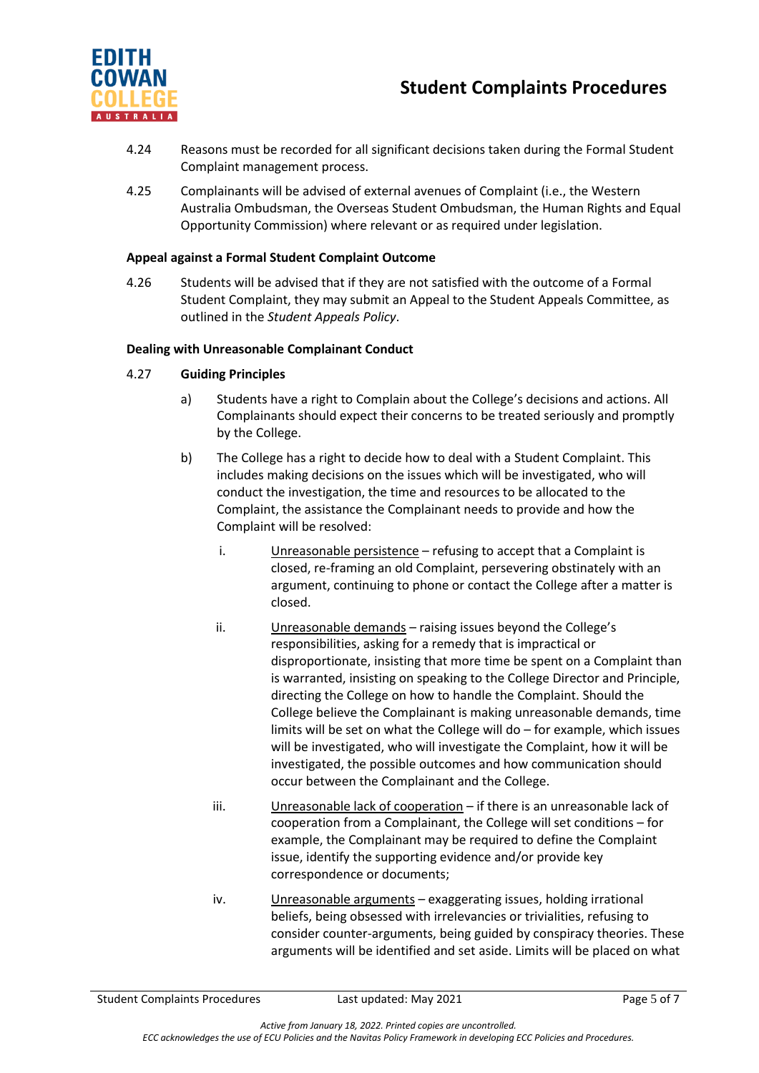

- 4.24 Reasons must be recorded for all significant decisions taken during the Formal Student Complaint management process.
- 4.25 Complainants will be advised of external avenues of Complaint (i.e., the Western Australia Ombudsman, the Overseas Student Ombudsman, the Human Rights and Equal Opportunity Commission) where relevant or as required under legislation.

#### **Appeal against a Formal Student Complaint Outcome**

4.26 Students will be advised that if they are not satisfied with the outcome of a Formal Student Complaint, they may submit an Appeal to the Student Appeals Committee, as outlined in the *Student Appeals Policy*.

## **Dealing with Unreasonable Complainant Conduct**

- 4.27 **Guiding Principles**
	- a) Students have a right to Complain about the College's decisions and actions. All Complainants should expect their concerns to be treated seriously and promptly by the College.
	- b) The College has a right to decide how to deal with a Student Complaint. This includes making decisions on the issues which will be investigated, who will conduct the investigation, the time and resources to be allocated to the Complaint, the assistance the Complainant needs to provide and how the Complaint will be resolved:
		- i. Unreasonable persistence refusing to accept that a Complaint is closed, re-framing an old Complaint, persevering obstinately with an argument, continuing to phone or contact the College after a matter is closed.
		- ii. Unreasonable demands raising issues beyond the College's responsibilities, asking for a remedy that is impractical or disproportionate, insisting that more time be spent on a Complaint than is warranted, insisting on speaking to the College Director and Principle, directing the College on how to handle the Complaint. Should the College believe the Complainant is making unreasonable demands, time limits will be set on what the College will do – for example, which issues will be investigated, who will investigate the Complaint, how it will be investigated, the possible outcomes and how communication should occur between the Complainant and the College.
		- iii. Unreasonable lack of cooperation if there is an unreasonable lack of cooperation from a Complainant, the College will set conditions – for example, the Complainant may be required to define the Complaint issue, identify the supporting evidence and/or provide key correspondence or documents;
		- iv. Unreasonable arguments exaggerating issues, holding irrational beliefs, being obsessed with irrelevancies or trivialities, refusing to consider counter-arguments, being guided by conspiracy theories. These arguments will be identified and set aside. Limits will be placed on what

Student Complaints Procedures **Last updated: May 2021** Page 5 of 7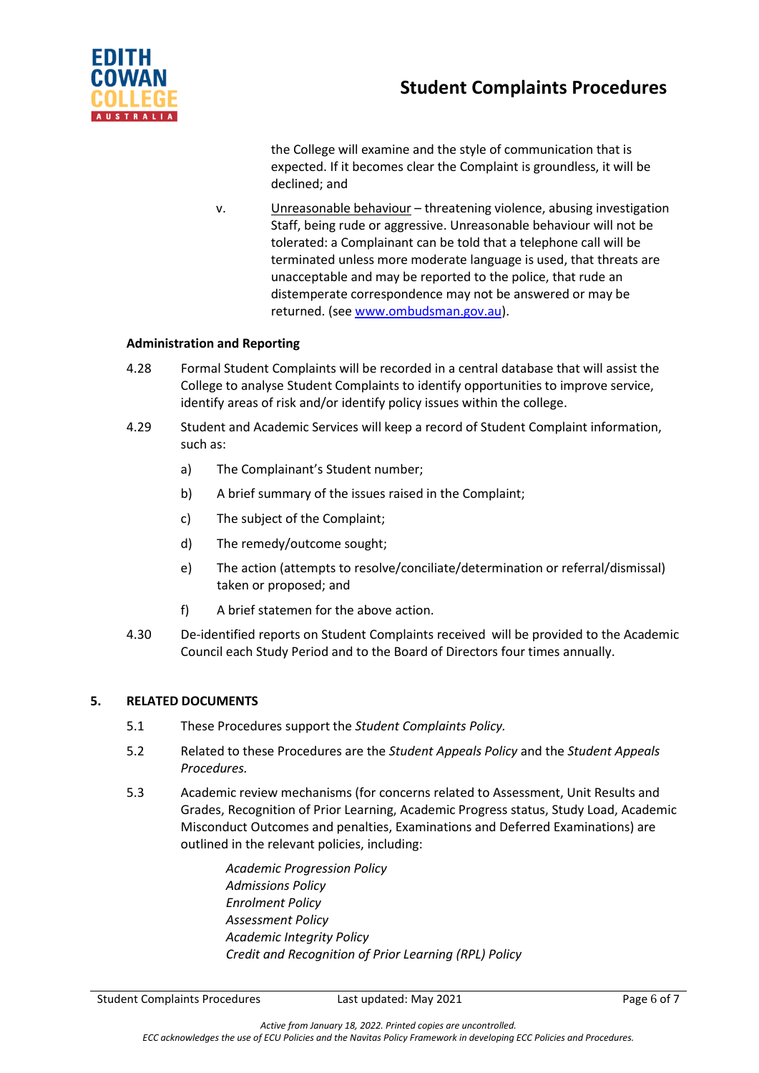

the College will examine and the style of communication that is expected. If it becomes clear the Complaint is groundless, it will be declined; and

v. Unreasonable behaviour – threatening violence, abusing investigation Staff, being rude or aggressive. Unreasonable behaviour will not be tolerated: a Complainant can be told that a telephone call will be terminated unless more moderate language is used, that threats are unacceptable and may be reported to the police, that rude an distemperate correspondence may not be answered or may be returned. (se[e www.ombudsman.gov.au\)](http://www.ombudsman.gov.au/).

## **Administration and Reporting**

- 4.28 Formal Student Complaints will be recorded in a central database that will assist the College to analyse Student Complaints to identify opportunities to improve service, identify areas of risk and/or identify policy issues within the college.
- 4.29 Student and Academic Services will keep a record of Student Complaint information, such as:
	- a) The Complainant's Student number;
	- b) A brief summary of the issues raised in the Complaint;
	- c) The subject of the Complaint;
	- d) The remedy/outcome sought;
	- e) The action (attempts to resolve/conciliate/determination or referral/dismissal) taken or proposed; and
	- f) A brief statemen for the above action.
- 4.30 De-identified reports on Student Complaints received will be provided to the Academic Council each Study Period and to the Board of Directors four times annually.

#### **5. RELATED DOCUMENTS**

- 5.1 These Procedures support the *Student Complaints Policy.*
- 5.2 Related to these Procedures are the *Student Appeals Policy* and the *Student Appeals Procedures.*
- 5.3 Academic review mechanisms (for concerns related to Assessment, Unit Results and Grades, Recognition of Prior Learning, Academic Progress status, Study Load, Academic Misconduct Outcomes and penalties, Examinations and Deferred Examinations) are outlined in the relevant policies, including:

*Academic Progression Policy Admissions Policy Enrolment Policy Assessment Policy Academic Integrity Policy Credit and Recognition of Prior Learning (RPL) Policy*